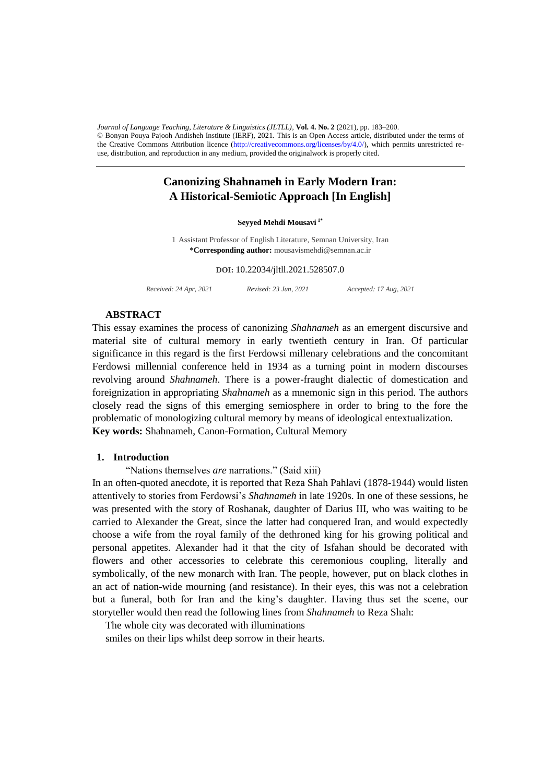$\bullet$  bonyan Touya Tajoon Andisheli institute (EAT), 2021. This is an Open Access affice, distributed under the terms of<br>the Creative Commons Attribution licence (http://creativecommons.org/licenses/by/4.0/), which permits use, distribution, and reproduction in any medium, provided the originalwork is properly cited. *Journal of Language Teaching, Literature & Linguistics (JLTLL)*, **Vol. 4. No. 2** (2021), pp. 183–200. © Bonyan Pouya Pajooh Andisheh Institute (IERF), 2021. This is an Open Access article, distributed under the terms of

# **Canonizing Shahnameh in Early Modern Iran: A Historical-Semiotic Approach [In English]**

### **Seyyed Mehdi Mousavi 1\***

1 Assistant Professor of English Literature, Semnan University, Iran **\*Corresponding author:** mousavismehdi@semnan.ac.ir

**DOI:** 10.22034/jltll.2021.528507.0

*Received: 24 Apr, 2021 Revised: 23 Jun, 2021 Accepted: 17 Aug, 2021*

### **ABSTRACT**

This essay examines the process of canonizing *Shahnameh* as an emergent discursive and material site of cultural memory in early twentieth century in Iran. Of particular significance in this regard is the first Ferdowsi millenary celebrations and the concomitant Ferdowsi millennial conference held in 1934 as a turning point in modern discourses revolving around *Shahnameh*. There is a power-fraught dialectic of domestication and foreignization in appropriating *Shahnameh* as a mnemonic sign in this period. The authors closely read the signs of this emerging semiosphere in order to bring to the fore the problematic of monologizing cultural memory by means of ideological entextualization. **Key words:** Shahnameh, Canon-Formation, Cultural Memory

#### **1. Introduction**

"Nations themselves *are* narrations." (Said xiii)

In an often-quoted anecdote, it is reported that Reza Shah Pahlavi (1878-1944) would listen attentively to stories from Ferdowsi's *Shahnameh* in late 1920s. In one of these sessions, he was presented with the story of Roshanak, daughter of Darius III, who was waiting to be carried to Alexander the Great, since the latter had conquered Iran, and would expectedly choose a wife from the royal family of the dethroned king for his growing political and personal appetites. Alexander had it that the city of Isfahan should be decorated with flowers and other accessories to celebrate this ceremonious coupling, literally and symbolically, of the new monarch with Iran. The people, however, put on black clothes in an act of nation-wide mourning (and resistance). In their eyes, this was not a celebration but a funeral, both for Iran and the king's daughter. Having thus set the scene, our storyteller would then read the following lines from *Shahnameh* to Reza Shah:

The whole city was decorated with illuminations

smiles on their lips whilst deep sorrow in their hearts.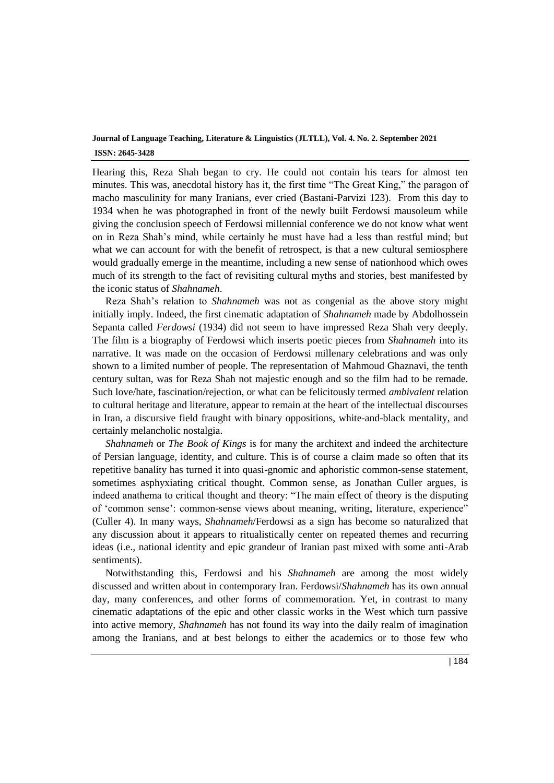Hearing this, Reza Shah began to cry. He could not contain his tears for almost ten minutes. This was, anecdotal history has it, the first time "The Great King," the paragon of macho masculinity for many Iranians, ever cried (Bastani-Parvizi 123). From this day to 1934 when he was photographed in front of the newly built Ferdowsi mausoleum while giving the conclusion speech of Ferdowsi millennial conference we do not know what went on in Reza Shah's mind, while certainly he must have had a less than restful mind; but what we can account for with the benefit of retrospect, is that a new cultural semiosphere would gradually emerge in the meantime, including a new sense of nationhood which owes much of its strength to the fact of revisiting cultural myths and stories, best manifested by the iconic status of *Shahnameh*.

Reza Shah's relation to *Shahnameh* was not as congenial as the above story might initially imply. Indeed, the first cinematic adaptation of *Shahnameh* made by Abdolhossein Sepanta called *Ferdowsi* (1934) did not seem to have impressed Reza Shah very deeply. The film is a biography of Ferdowsi which inserts poetic pieces from *Shahnameh* into its narrative. It was made on the occasion of Ferdowsi millenary celebrations and was only shown to a limited number of people. The representation of Mahmoud Ghaznavi, the tenth century sultan, was for Reza Shah not majestic enough and so the film had to be remade. Such love/hate, fascination/rejection, or what can be felicitously termed *ambivalent* relation to cultural heritage and literature, appear to remain at the heart of the intellectual discourses in Iran, a discursive field fraught with binary oppositions, white-and-black mentality, and certainly melancholic nostalgia.

*Shahnameh* or *The Book of Kings* is for many the architext and indeed the architecture of Persian language, identity, and culture. This is of course a claim made so often that its repetitive banality has turned it into quasi-gnomic and aphoristic common-sense statement, sometimes asphyxiating critical thought. Common sense, as Jonathan Culler argues, is indeed anathema to critical thought and theory: "The main effect of theory is the disputing of 'common sense': common-sense views about meaning, writing, literature, experience" (Culler 4). In many ways, *Shahnameh*/Ferdowsi as a sign has become so naturalized that any discussion about it appears to ritualistically center on repeated themes and recurring ideas (i.e., national identity and epic grandeur of Iranian past mixed with some anti-Arab sentiments).

Notwithstanding this, Ferdowsi and his *Shahnameh* are among the most widely discussed and written about in contemporary Iran. Ferdowsi/*Shahnameh* has its own annual day, many conferences, and other forms of commemoration. Yet, in contrast to many cinematic adaptations of the epic and other classic works in the West which turn passive into active memory, *Shahnameh* has not found its way into the daily realm of imagination among the Iranians, and at best belongs to either the academics or to those few who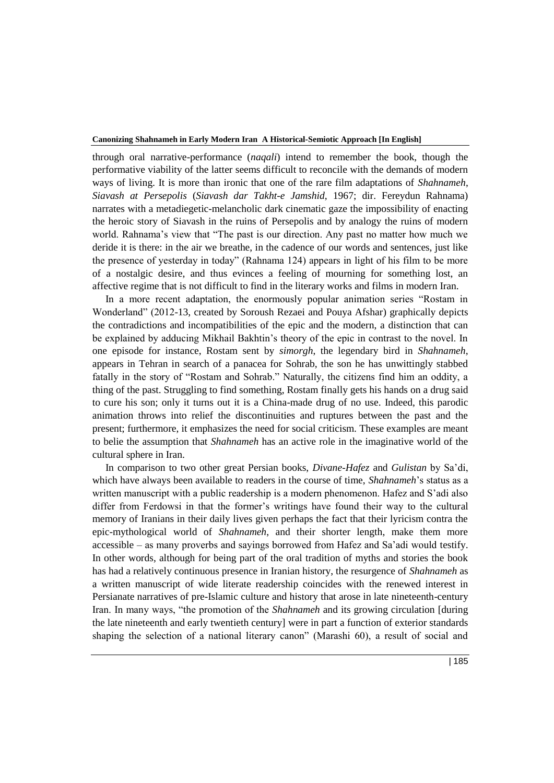through oral narrative-performance (*naqali*) intend to remember the book, though the performative viability of the latter seems difficult to reconcile with the demands of modern ways of living. It is more than ironic that one of the rare film adaptations of *Shahnameh*, *Siavash at Persepolis* (*Siavash dar Takht-e Jamshid*, 1967; dir. Fereydun Rahnama) narrates with a metadiegetic-melancholic dark cinematic gaze the impossibility of enacting the heroic story of Siavash in the ruins of Persepolis and by analogy the ruins of modern world. Rahnama's view that "The past is our direction. Any past no matter how much we deride it is there: in the air we breathe, in the cadence of our words and sentences, just like the presence of yesterday in today" (Rahnama 124) appears in light of his film to be more of a nostalgic desire, and thus evinces a feeling of mourning for something lost, an affective regime that is not difficult to find in the literary works and films in modern Iran.

In a more recent adaptation, the enormously popular animation series "Rostam in Wonderland" (2012-13, created by Soroush Rezaei and Pouya Afshar) graphically depicts the contradictions and incompatibilities of the epic and the modern, a distinction that can be explained by adducing Mikhail Bakhtin's theory of the epic in contrast to the novel. In one episode for instance, Rostam sent by *simorgh*, the legendary bird in *Shahnameh*, appears in Tehran in search of a panacea for Sohrab, the son he has unwittingly stabbed fatally in the story of "Rostam and Sohrab." Naturally, the citizens find him an oddity, a thing of the past. Struggling to find something, Rostam finally gets his hands on a drug said to cure his son; only it turns out it is a China-made drug of no use. Indeed, this parodic animation throws into relief the discontinuities and ruptures between the past and the present; furthermore, it emphasizes the need for social criticism. These examples are meant to belie the assumption that *Shahnameh* has an active role in the imaginative world of the cultural sphere in Iran.

In comparison to two other great Persian books, *Divane-Hafez* and *Gulistan* by Sa'di, which have always been available to readers in the course of time, *Shahnameh*'s status as a written manuscript with a public readership is a modern phenomenon. Hafez and S'adi also differ from Ferdowsi in that the former's writings have found their way to the cultural memory of Iranians in their daily lives given perhaps the fact that their lyricism contra the epic-mythological world of *Shahnameh*, and their shorter length, make them more accessible – as many proverbs and sayings borrowed from Hafez and Sa'adi would testify. In other words, although for being part of the oral tradition of myths and stories the book has had a relatively continuous presence in Iranian history, the resurgence of *Shahnameh* as a written manuscript of wide literate readership coincides with the renewed interest in Persianate narratives of pre-Islamic culture and history that arose in late nineteenth-century Iran. In many ways, "the promotion of the *Shahnameh* and its growing circulation [during the late nineteenth and early twentieth century] were in part a function of exterior standards shaping the selection of a national literary canon" (Marashi 60), a result of social and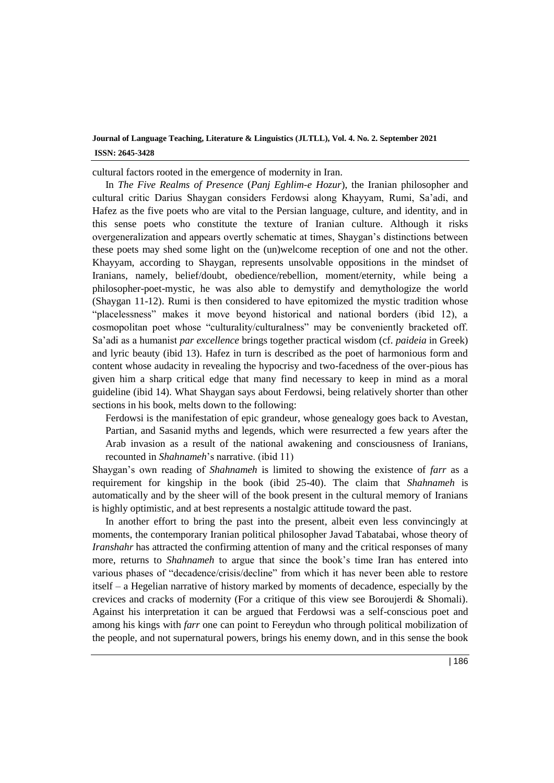cultural factors rooted in the emergence of modernity in Iran.

In *The Five Realms of Presence* (*Panj Eghlim-e Hozur*), the Iranian philosopher and cultural critic Darius Shaygan considers Ferdowsi along Khayyam, Rumi, Sa'adi, and Hafez as the five poets who are vital to the Persian language, culture, and identity, and in this sense poets who constitute the texture of Iranian culture. Although it risks overgeneralization and appears overtly schematic at times, Shaygan's distinctions between these poets may shed some light on the (un)welcome reception of one and not the other. Khayyam, according to Shaygan, represents unsolvable oppositions in the mindset of Iranians, namely, belief/doubt, obedience/rebellion, moment/eternity, while being a philosopher-poet-mystic, he was also able to demystify and demythologize the world (Shaygan 11-12). Rumi is then considered to have epitomized the mystic tradition whose "placelessness" makes it move beyond historical and national borders (ibid 12), a cosmopolitan poet whose "culturality/culturalness" may be conveniently bracketed off. Sa'adi as a humanist *par excellence* brings together practical wisdom (cf. *paideia* in Greek) and lyric beauty (ibid 13). Hafez in turn is described as the poet of harmonious form and content whose audacity in revealing the hypocrisy and two-facedness of the over-pious has given him a sharp critical edge that many find necessary to keep in mind as a moral guideline (ibid 14). What Shaygan says about Ferdowsi, being relatively shorter than other sections in his book, melts down to the following:

Ferdowsi is the manifestation of epic grandeur, whose genealogy goes back to Avestan, Partian, and Sasanid myths and legends, which were resurrected a few years after the Arab invasion as a result of the national awakening and consciousness of Iranians, recounted in *Shahnameh*'s narrative. (ibid 11)

Shaygan's own reading of *Shahnameh* is limited to showing the existence of *farr* as a requirement for kingship in the book (ibid 25-40). The claim that *Shahnameh* is automatically and by the sheer will of the book present in the cultural memory of Iranians is highly optimistic, and at best represents a nostalgic attitude toward the past.

In another effort to bring the past into the present, albeit even less convincingly at moments, the contemporary Iranian political philosopher Javad Tabatabai, whose theory of *Iranshahr* has attracted the confirming attention of many and the critical responses of many more, returns to *Shahnameh* to argue that since the book's time Iran has entered into various phases of "decadence/crisis/decline" from which it has never been able to restore itself – a Hegelian narrative of history marked by moments of decadence, especially by the crevices and cracks of modernity (For a critique of this view see Boroujerdi & Shomali). Against his interpretation it can be argued that Ferdowsi was a self-conscious poet and among his kings with *farr* one can point to Fereydun who through political mobilization of the people, and not supernatural powers, brings his enemy down, and in this sense the book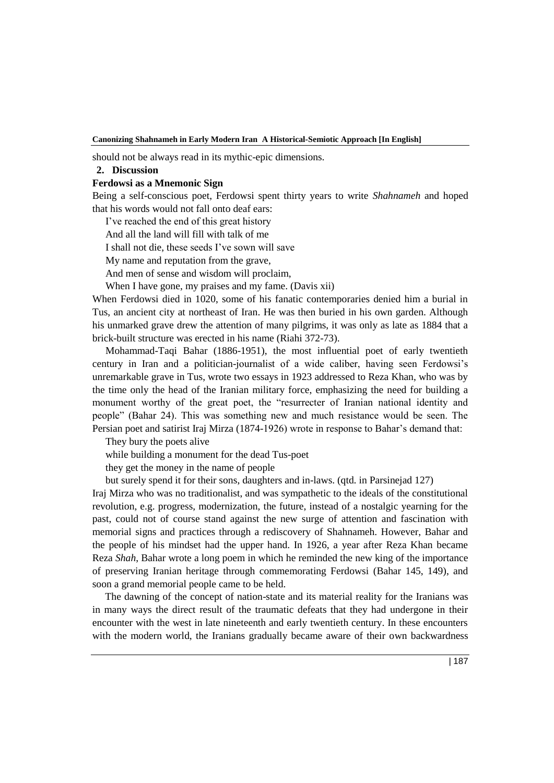should not be always read in its mythic-epic dimensions.

### **2. Discussion**

### **Ferdowsi as a Mnemonic Sign**

Being a self-conscious poet, Ferdowsi spent thirty years to write *Shahnameh* and hoped that his words would not fall onto deaf ears:

I've reached the end of this great history

And all the land will fill with talk of me

I shall not die, these seeds I've sown will save

My name and reputation from the grave,

And men of sense and wisdom will proclaim,

When I have gone, my praises and my fame. (Davis xii)

When Ferdowsi died in 1020, some of his fanatic contemporaries denied him a burial in Tus, an ancient city at northeast of Iran. He was then buried in his own garden. Although his unmarked grave drew the attention of many pilgrims, it was only as late as 1884 that a brick-built structure was erected in his name (Riahi 372-73).

Mohammad-Taqi Bahar (1886-1951), the most influential poet of early twentieth century in Iran and a politician-journalist of a wide caliber, having seen Ferdowsi's unremarkable grave in Tus, wrote two essays in 1923 addressed to Reza Khan, who was by the time only the head of the Iranian military force, emphasizing the need for building a monument worthy of the great poet, the "resurrecter of Iranian national identity and people" (Bahar 24). This was something new and much resistance would be seen. The Persian poet and satirist Iraj Mirza (1874-1926) wrote in response to Bahar's demand that:

They bury the poets alive

while building a monument for the dead Tus-poet

they get the money in the name of people

but surely spend it for their sons, daughters and in-laws. (qtd. in Parsinejad 127)

Iraj Mirza who was no traditionalist, and was sympathetic to the ideals of the constitutional revolution, e.g. progress, modernization, the future, instead of a nostalgic yearning for the past, could not of course stand against the new surge of attention and fascination with memorial signs and practices through a rediscovery of Shahnameh. However, Bahar and the people of his mindset had the upper hand. In 1926, a year after Reza Khan became Reza *Shah*, Bahar wrote a long poem in which he reminded the new king of the importance of preserving Iranian heritage through commemorating Ferdowsi (Bahar 145, 149), and soon a grand memorial people came to be held.

 The dawning of the concept of nation-state and its material reality for the Iranians was in many ways the direct result of the traumatic defeats that they had undergone in their encounter with the west in late nineteenth and early twentieth century. In these encounters with the modern world, the Iranians gradually became aware of their own backwardness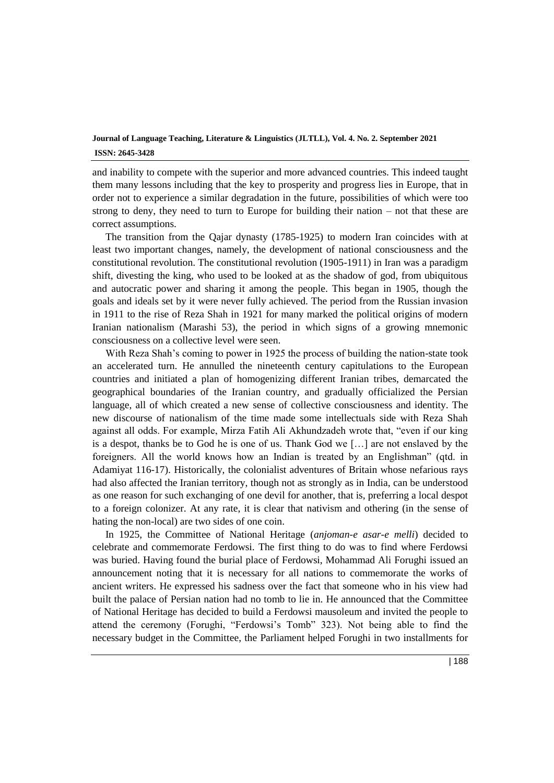and inability to compete with the superior and more advanced countries. This indeed taught them many lessons including that the key to prosperity and progress lies in Europe, that in order not to experience a similar degradation in the future, possibilities of which were too strong to deny, they need to turn to Europe for building their nation – not that these are correct assumptions.

The transition from the Qajar dynasty (1785-1925) to modern Iran coincides with at least two important changes, namely, the development of national consciousness and the constitutional revolution. The constitutional revolution (1905-1911) in Iran was a paradigm shift, divesting the king, who used to be looked at as the shadow of god, from ubiquitous and autocratic power and sharing it among the people. This began in 1905, though the goals and ideals set by it were never fully achieved. The period from the Russian invasion in 1911 to the rise of Reza Shah in 1921 for many marked the political origins of modern Iranian nationalism (Marashi 53), the period in which signs of a growing mnemonic consciousness on a collective level were seen.

With Reza Shah's coming to power in 1925 the process of building the nation-state took an accelerated turn. He annulled the nineteenth century capitulations to the European countries and initiated a plan of homogenizing different Iranian tribes, demarcated the geographical boundaries of the Iranian country, and gradually officialized the Persian language, all of which created a new sense of collective consciousness and identity. The new discourse of nationalism of the time made some intellectuals side with Reza Shah against all odds. For example, Mirza Fatih Ali Akhundzadeh wrote that, "even if our king is a despot, thanks be to God he is one of us. Thank God we […] are not enslaved by the foreigners. All the world knows how an Indian is treated by an Englishman" (qtd. in Adamiyat 116-17). Historically, the colonialist adventures of Britain whose nefarious rays had also affected the Iranian territory, though not as strongly as in India, can be understood as one reason for such exchanging of one devil for another, that is, preferring a local despot to a foreign colonizer. At any rate, it is clear that nativism and othering (in the sense of hating the non-local) are two sides of one coin.

In 1925, the Committee of National Heritage (*anjoman-e asar-e melli*) decided to celebrate and commemorate Ferdowsi. The first thing to do was to find where Ferdowsi was buried. Having found the burial place of Ferdowsi, Mohammad Ali Forughi issued an announcement noting that it is necessary for all nations to commemorate the works of ancient writers. He expressed his sadness over the fact that someone who in his view had built the palace of Persian nation had no tomb to lie in. He announced that the Committee of National Heritage has decided to build a Ferdowsi mausoleum and invited the people to attend the ceremony (Forughi, "Ferdowsi's Tomb" 323). Not being able to find the necessary budget in the Committee, the Parliament helped Forughi in two installments for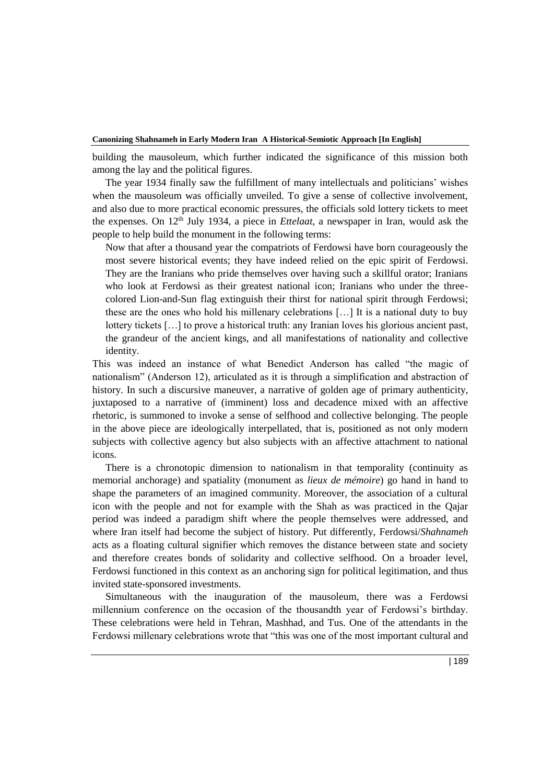building the mausoleum, which further indicated the significance of this mission both among the lay and the political figures.

The year 1934 finally saw the fulfillment of many intellectuals and politicians' wishes when the mausoleum was officially unveiled. To give a sense of collective involvement, and also due to more practical economic pressures, the officials sold lottery tickets to meet the expenses. On 12th July 1934, a piece in *Ettelaat*, a newspaper in Iran, would ask the people to help build the monument in the following terms:

Now that after a thousand year the compatriots of Ferdowsi have born courageously the most severe historical events; they have indeed relied on the epic spirit of Ferdowsi. They are the Iranians who pride themselves over having such a skillful orator; Iranians who look at Ferdowsi as their greatest national icon; Iranians who under the threecolored Lion-and-Sun flag extinguish their thirst for national spirit through Ferdowsi; these are the ones who hold his millenary celebrations […] It is a national duty to buy lottery tickets […] to prove a historical truth: any Iranian loves his glorious ancient past, the grandeur of the ancient kings, and all manifestations of nationality and collective identity.

This was indeed an instance of what Benedict Anderson has called "the magic of nationalism" (Anderson 12), articulated as it is through a simplification and abstraction of history. In such a discursive maneuver, a narrative of golden age of primary authenticity, juxtaposed to a narrative of (imminent) loss and decadence mixed with an affective rhetoric, is summoned to invoke a sense of selfhood and collective belonging. The people in the above piece are ideologically interpellated, that is, positioned as not only modern subjects with collective agency but also subjects with an affective attachment to national icons.

There is a chronotopic dimension to nationalism in that temporality (continuity as memorial anchorage) and spatiality (monument as *lieux de mémoire*) go hand in hand to shape the parameters of an imagined community. Moreover, the association of a cultural icon with the people and not for example with the Shah as was practiced in the Qajar period was indeed a paradigm shift where the people themselves were addressed, and where Iran itself had become the subject of history. Put differently, Ferdowsi/*Shahnameh* acts as a floating cultural signifier which removes the distance between state and society and therefore creates bonds of solidarity and collective selfhood. On a broader level, Ferdowsi functioned in this context as an anchoring sign for political legitimation, and thus invited state-sponsored investments.

Simultaneous with the inauguration of the mausoleum, there was a Ferdowsi millennium conference on the occasion of the thousandth year of Ferdowsi's birthday. These celebrations were held in Tehran, Mashhad, and Tus. One of the attendants in the Ferdowsi millenary celebrations wrote that "this was one of the most important cultural and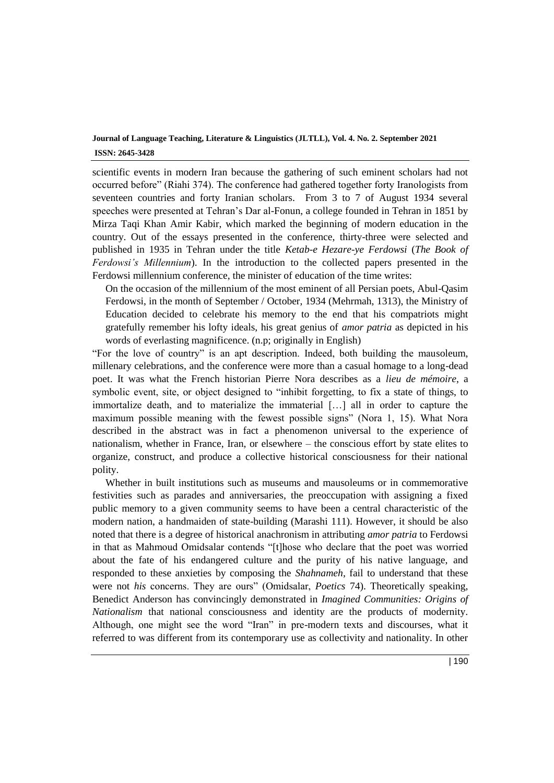scientific events in modern Iran because the gathering of such eminent scholars had not occurred before" (Riahi 374). The conference had gathered together forty Iranologists from seventeen countries and forty Iranian scholars. From 3 to 7 of August 1934 several speeches were presented at Tehran's Dar al-Fonun, a college founded in Tehran in 1851 by Mirza Taqi Khan Amir Kabir, which marked the beginning of modern education in the country. Out of the essays presented in the conference, thirty-three were selected and published in 1935 in Tehran under the title *Ketab-e Hezare-ye Ferdowsi* (*The Book of Ferdowsi's Millennium*). In the introduction to the collected papers presented in the Ferdowsi millennium conference, the minister of education of the time writes:

On the occasion of the millennium of the most eminent of all Persian poets, Abul-Qasim Ferdowsi, in the month of September / October, 1934 (Mehrmah, 1313), the Ministry of Education decided to celebrate his memory to the end that his compatriots might gratefully remember his lofty ideals, his great genius of *amor patria* as depicted in his words of everlasting magnificence. (n.p; originally in English)

"For the love of country" is an apt description. Indeed, both building the mausoleum, millenary celebrations, and the conference were more than a casual homage to a long-dead poet. It was what the French historian Pierre Nora describes as a *lieu de mémoire*, a symbolic event, site, or object designed to "inhibit forgetting, to fix a state of things, to immortalize death, and to materialize the immaterial […] all in order to capture the maximum possible meaning with the fewest possible signs" (Nora 1, 15). What Nora described in the abstract was in fact a phenomenon universal to the experience of nationalism, whether in France, Iran, or elsewhere – the conscious effort by state elites to organize, construct, and produce a collective historical consciousness for their national polity.

Whether in built institutions such as museums and mausoleums or in commemorative festivities such as parades and anniversaries, the preoccupation with assigning a fixed public memory to a given community seems to have been a central characteristic of the modern nation, a handmaiden of state-building (Marashi 111). However, it should be also noted that there is a degree of historical anachronism in attributing *amor patria* to Ferdowsi in that as Mahmoud Omidsalar contends "[t]hose who declare that the poet was worried about the fate of his endangered culture and the purity of his native language, and responded to these anxieties by composing the *Shahnameh*, fail to understand that these were not *his* concerns. They are ours" (Omidsalar, *Poetics* 74). Theoretically speaking, Benedict Anderson has convincingly demonstrated in *Imagined Communities: Origins of Nationalism* that national consciousness and identity are the products of modernity. Although, one might see the word "Iran" in pre-modern texts and discourses, what it referred to was different from its contemporary use as collectivity and nationality. In other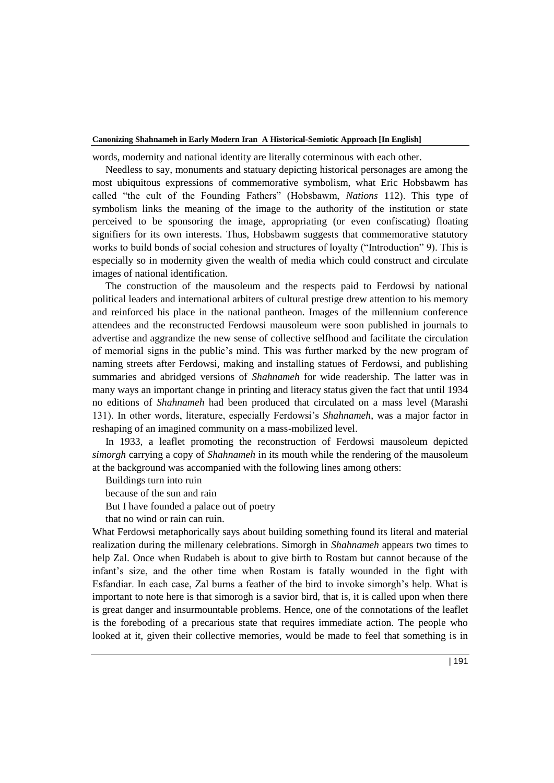words, modernity and national identity are literally coterminous with each other.

Needless to say, monuments and statuary depicting historical personages are among the most ubiquitous expressions of commemorative symbolism, what Eric Hobsbawm has called "the cult of the Founding Fathers" (Hobsbawm, *Nations* 112). This type of symbolism links the meaning of the image to the authority of the institution or state perceived to be sponsoring the image, appropriating (or even confiscating) floating signifiers for its own interests. Thus, Hobsbawm suggests that commemorative statutory works to build bonds of social cohesion and structures of loyalty ("Introduction" 9). This is especially so in modernity given the wealth of media which could construct and circulate images of national identification.

The construction of the mausoleum and the respects paid to Ferdowsi by national political leaders and international arbiters of cultural prestige drew attention to his memory and reinforced his place in the national pantheon. Images of the millennium conference attendees and the reconstructed Ferdowsi mausoleum were soon published in journals to advertise and aggrandize the new sense of collective selfhood and facilitate the circulation of memorial signs in the public's mind. This was further marked by the new program of naming streets after Ferdowsi, making and installing statues of Ferdowsi, and publishing summaries and abridged versions of *Shahnameh* for wide readership. The latter was in many ways an important change in printing and literacy status given the fact that until 1934 no editions of *Shahnameh* had been produced that circulated on a mass level (Marashi 131). In other words, literature, especially Ferdowsi's *Shahnameh*, was a major factor in reshaping of an imagined community on a mass-mobilized level.

In 1933, a leaflet promoting the reconstruction of Ferdowsi mausoleum depicted *simorgh* carrying a copy of *Shahnameh* in its mouth while the rendering of the mausoleum at the background was accompanied with the following lines among others:

Buildings turn into ruin

because of the sun and rain

But I have founded a palace out of poetry

that no wind or rain can ruin.

What Ferdowsi metaphorically says about building something found its literal and material realization during the millenary celebrations. Simorgh in *Shahnameh* appears two times to help Zal. Once when Rudabeh is about to give birth to Rostam but cannot because of the infant's size, and the other time when Rostam is fatally wounded in the fight with Esfandiar. In each case, Zal burns a feather of the bird to invoke simorgh's help. What is important to note here is that simorogh is a savior bird, that is, it is called upon when there is great danger and insurmountable problems. Hence, one of the connotations of the leaflet is the foreboding of a precarious state that requires immediate action. The people who looked at it, given their collective memories, would be made to feel that something is in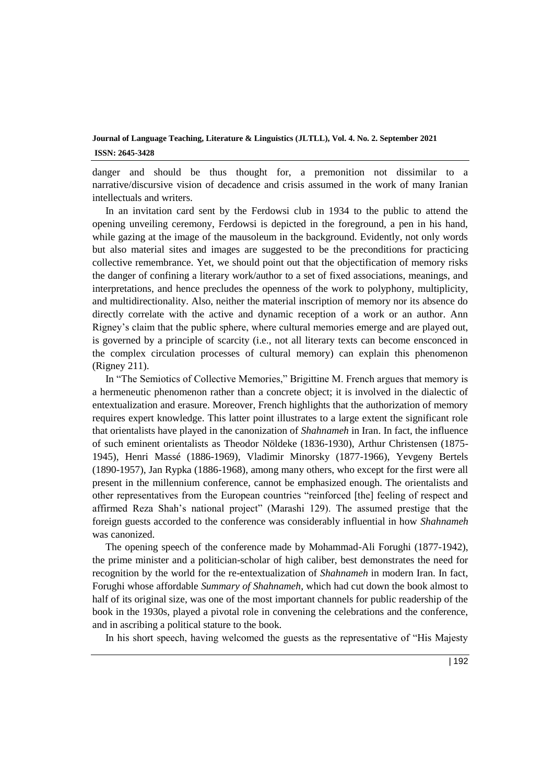danger and should be thus thought for, a premonition not dissimilar to a narrative/discursive vision of decadence and crisis assumed in the work of many Iranian intellectuals and writers.

In an invitation card sent by the Ferdowsi club in 1934 to the public to attend the opening unveiling ceremony, Ferdowsi is depicted in the foreground, a pen in his hand, while gazing at the image of the mausoleum in the background. Evidently, not only words but also material sites and images are suggested to be the preconditions for practicing collective remembrance. Yet, we should point out that the objectification of memory risks the danger of confining a literary work/author to a set of fixed associations, meanings, and interpretations, and hence precludes the openness of the work to polyphony, multiplicity, and multidirectionality. Also, neither the material inscription of memory nor its absence do directly correlate with the active and dynamic reception of a work or an author. Ann Rigney's claim that the public sphere, where cultural memories emerge and are played out, is governed by a principle of scarcity (i.e., not all literary texts can become ensconced in the complex circulation processes of cultural memory) can explain this phenomenon (Rigney 211).

In "The Semiotics of Collective Memories," Brigittine M. French argues that memory is a hermeneutic phenomenon rather than a concrete object; it is involved in the dialectic of entextualization and erasure. Moreover, French highlights that the authorization of memory requires expert knowledge. This latter point illustrates to a large extent the significant role that orientalists have played in the canonization of *Shahnameh* in Iran. In fact, the influence of such eminent orientalists as Theodor Nöldeke (1836-1930), Arthur Christensen (1875- 1945), Henri Massé (1886-1969), Vladimir Minorsky (1877-1966), Yevgeny Bertels (1890-1957), Jan Rypka (1886-1968), among many others, who except for the first were all present in the millennium conference, cannot be emphasized enough. The orientalists and other representatives from the European countries "reinforced [the] feeling of respect and affirmed Reza Shah's national project" (Marashi 129). The assumed prestige that the foreign guests accorded to the conference was considerably influential in how *Shahnameh* was canonized.

The opening speech of the conference made by Mohammad-Ali Forughi (1877-1942), the prime minister and a politician-scholar of high caliber, best demonstrates the need for recognition by the world for the re-entextualization of *Shahnameh* in modern Iran. In fact, Forughi whose affordable *Summary of Shahnameh*, which had cut down the book almost to half of its original size, was one of the most important channels for public readership of the book in the 1930s, played a pivotal role in convening the celebrations and the conference, and in ascribing a political stature to the book.

In his short speech, having welcomed the guests as the representative of "His Majesty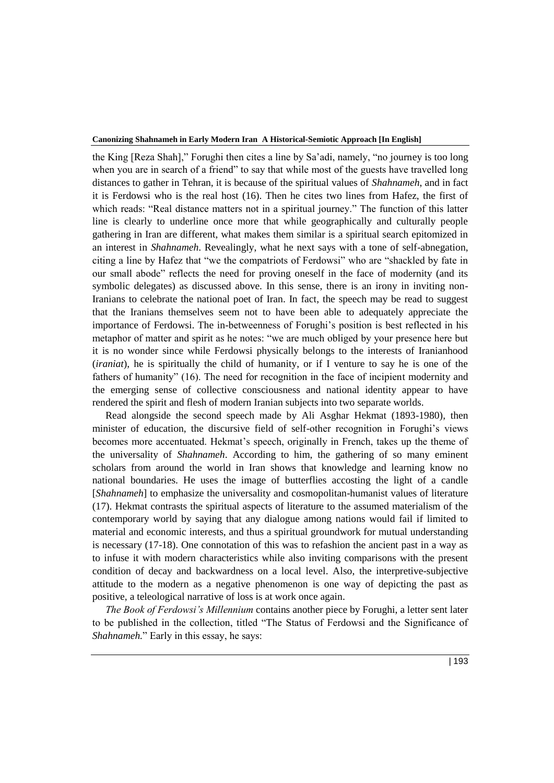the King [Reza Shah]," Forughi then cites a line by Sa'adi, namely, "no journey is too long when you are in search of a friend" to say that while most of the guests have travelled long distances to gather in Tehran, it is because of the spiritual values of *Shahnameh*, and in fact it is Ferdowsi who is the real host (16). Then he cites two lines from Hafez, the first of which reads: "Real distance matters not in a spiritual journey." The function of this latter line is clearly to underline once more that while geographically and culturally people gathering in Iran are different, what makes them similar is a spiritual search epitomized in an interest in *Shahnameh*. Revealingly, what he next says with a tone of self-abnegation, citing a line by Hafez that "we the compatriots of Ferdowsi" who are "shackled by fate in our small abode" reflects the need for proving oneself in the face of modernity (and its symbolic delegates) as discussed above. In this sense, there is an irony in inviting non-Iranians to celebrate the national poet of Iran. In fact, the speech may be read to suggest that the Iranians themselves seem not to have been able to adequately appreciate the importance of Ferdowsi. The in-betweenness of Forughi's position is best reflected in his metaphor of matter and spirit as he notes: "we are much obliged by your presence here but it is no wonder since while Ferdowsi physically belongs to the interests of Iranianhood (*iraniat*), he is spiritually the child of humanity, or if I venture to say he is one of the fathers of humanity" (16). The need for recognition in the face of incipient modernity and the emerging sense of collective consciousness and national identity appear to have rendered the spirit and flesh of modern Iranian subjects into two separate worlds.

Read alongside the second speech made by Ali Asghar Hekmat (1893-1980), then minister of education, the discursive field of self-other recognition in Forughi's views becomes more accentuated. Hekmat's speech, originally in French, takes up the theme of the universality of *Shahnameh*. According to him, the gathering of so many eminent scholars from around the world in Iran shows that knowledge and learning know no national boundaries. He uses the image of butterflies accosting the light of a candle [*Shahnameh*] to emphasize the universality and cosmopolitan-humanist values of literature (17). Hekmat contrasts the spiritual aspects of literature to the assumed materialism of the contemporary world by saying that any dialogue among nations would fail if limited to material and economic interests, and thus a spiritual groundwork for mutual understanding is necessary (17-18). One connotation of this was to refashion the ancient past in a way as to infuse it with modern characteristics while also inviting comparisons with the present condition of decay and backwardness on a local level. Also, the interpretive-subjective attitude to the modern as a negative phenomenon is one way of depicting the past as positive, a teleological narrative of loss is at work once again.

*The Book of Ferdowsi's Millennium* contains another piece by Forughi, a letter sent later to be published in the collection, titled "The Status of Ferdowsi and the Significance of *Shahnameh.*" Early in this essay, he says: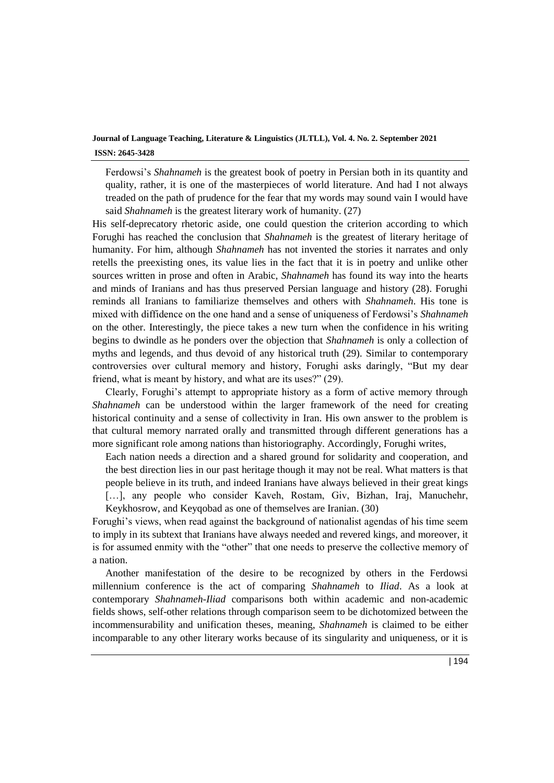Ferdowsi's *Shahnameh* is the greatest book of poetry in Persian both in its quantity and quality, rather, it is one of the masterpieces of world literature. And had I not always treaded on the path of prudence for the fear that my words may sound vain I would have said *Shahnameh* is the greatest literary work of humanity. (27)

His self-deprecatory rhetoric aside, one could question the criterion according to which Forughi has reached the conclusion that *Shahnameh* is the greatest of literary heritage of humanity. For him, although *Shahnameh* has not invented the stories it narrates and only retells the preexisting ones, its value lies in the fact that it is in poetry and unlike other sources written in prose and often in Arabic, *Shahnameh* has found its way into the hearts and minds of Iranians and has thus preserved Persian language and history (28). Forughi reminds all Iranians to familiarize themselves and others with *Shahnameh*. His tone is mixed with diffidence on the one hand and a sense of uniqueness of Ferdowsi's *Shahnameh* on the other. Interestingly, the piece takes a new turn when the confidence in his writing begins to dwindle as he ponders over the objection that *Shahnameh* is only a collection of myths and legends, and thus devoid of any historical truth (29). Similar to contemporary controversies over cultural memory and history, Forughi asks daringly, "But my dear friend, what is meant by history, and what are its uses?" (29).

Clearly, Forughi's attempt to appropriate history as a form of active memory through *Shahnameh* can be understood within the larger framework of the need for creating historical continuity and a sense of collectivity in Iran. His own answer to the problem is that cultural memory narrated orally and transmitted through different generations has a more significant role among nations than historiography. Accordingly, Forughi writes,

Each nation needs a direction and a shared ground for solidarity and cooperation, and the best direction lies in our past heritage though it may not be real. What matters is that people believe in its truth, and indeed Iranians have always believed in their great kings [...], any people who consider Kaveh, Rostam, Giv, Bizhan, Iraj, Manuchehr, Keykhosrow, and Keyqobad as one of themselves are Iranian. (30)

Forughi's views, when read against the background of nationalist agendas of his time seem to imply in its subtext that Iranians have always needed and revered kings, and moreover, it is for assumed enmity with the "other" that one needs to preserve the collective memory of a nation.

Another manifestation of the desire to be recognized by others in the Ferdowsi millennium conference is the act of comparing *Shahnameh* to *Iliad*. As a look at contemporary *Shahnameh*-*Iliad* comparisons both within academic and non-academic fields shows, self-other relations through comparison seem to be dichotomized between the incommensurability and unification theses, meaning, *Shahnameh* is claimed to be either incomparable to any other literary works because of its singularity and uniqueness, or it is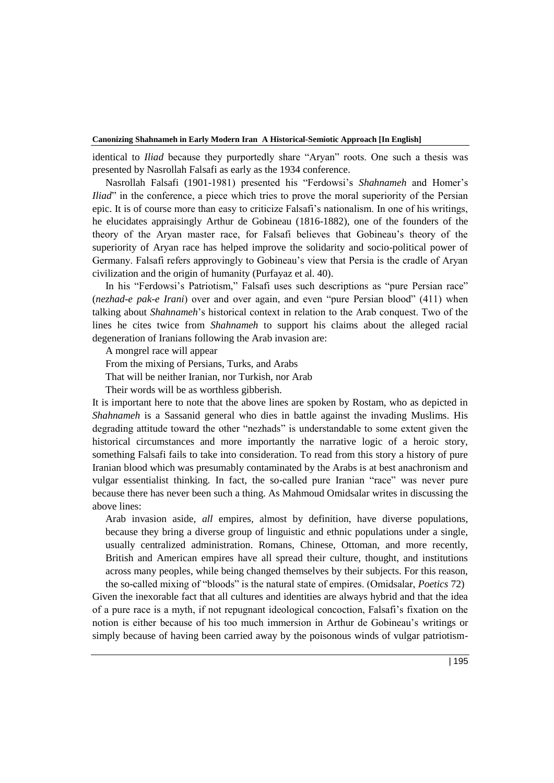identical to *Iliad* because they purportedly share "Aryan" roots. One such a thesis was presented by Nasrollah Falsafi as early as the 1934 conference.

Nasrollah Falsafi (1901-1981) presented his "Ferdowsi's *Shahnameh* and Homer's *Iliad*" in the conference, a piece which tries to prove the moral superiority of the Persian epic. It is of course more than easy to criticize Falsafi's nationalism. In one of his writings, he elucidates appraisingly Arthur de Gobineau (1816-1882), one of the founders of the theory of the Aryan master race, for Falsafi believes that Gobineau's theory of the superiority of Aryan race has helped improve the solidarity and socio-political power of Germany. Falsafi refers approvingly to Gobineau's view that Persia is the cradle of Aryan civilization and the origin of humanity (Purfayaz et al. 40).

In his "Ferdowsi's Patriotism," Falsafi uses such descriptions as "pure Persian race" (*nezhad-e pak-e Irani*) over and over again, and even "pure Persian blood" (411) when talking about *Shahnameh*'s historical context in relation to the Arab conquest. Two of the lines he cites twice from *Shahnameh* to support his claims about the alleged racial degeneration of Iranians following the Arab invasion are:

A mongrel race will appear

From the mixing of Persians, Turks, and Arabs

That will be neither Iranian, nor Turkish, nor Arab

Their words will be as worthless gibberish.

It is important here to note that the above lines are spoken by Rostam, who as depicted in *Shahnameh* is a Sassanid general who dies in battle against the invading Muslims. His degrading attitude toward the other "nezhads" is understandable to some extent given the historical circumstances and more importantly the narrative logic of a heroic story, something Falsafi fails to take into consideration. To read from this story a history of pure Iranian blood which was presumably contaminated by the Arabs is at best anachronism and vulgar essentialist thinking. In fact, the so-called pure Iranian "race" was never pure because there has never been such a thing. As Mahmoud Omidsalar writes in discussing the above lines:

Arab invasion aside, *all* empires, almost by definition, have diverse populations, because they bring a diverse group of linguistic and ethnic populations under a single, usually centralized administration. Romans, Chinese, Ottoman, and more recently, British and American empires have all spread their culture, thought, and institutions across many peoples, while being changed themselves by their subjects. For this reason, the so-called mixing of "bloods" is the natural state of empires. (Omidsalar, *Poetics* 72)

Given the inexorable fact that all cultures and identities are always hybrid and that the idea of a pure race is a myth, if not repugnant ideological concoction, Falsafi's fixation on the notion is either because of his too much immersion in Arthur de Gobineau's writings or simply because of having been carried away by the poisonous winds of vulgar patriotism-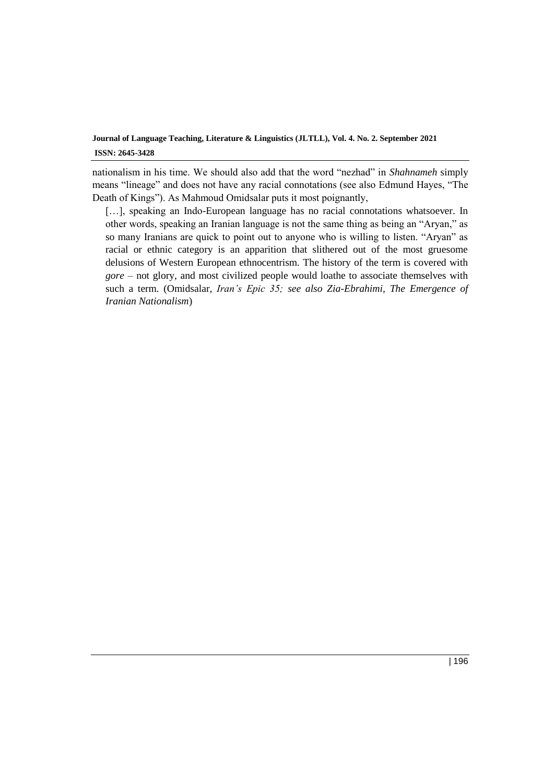nationalism in his time. We should also add that the word "nezhad" in *Shahnameh* simply means "lineage" and does not have any racial connotations (see also Edmund Hayes, "The Death of Kings"). As Mahmoud Omidsalar puts it most poignantly,

[...], speaking an Indo-European language has no racial connotations whatsoever. In other words, speaking an Iranian language is not the same thing as being an "Aryan," as so many Iranians are quick to point out to anyone who is willing to listen. "Aryan" as racial or ethnic category is an apparition that slithered out of the most gruesome delusions of Western European ethnocentrism. The history of the term is covered with *gore* – not glory, and most civilized people would loathe to associate themselves with such a term. (Omidsalar, *Iran's Epic 35; see also Zia-Ebrahimi, The Emergence of Iranian Nationalism*)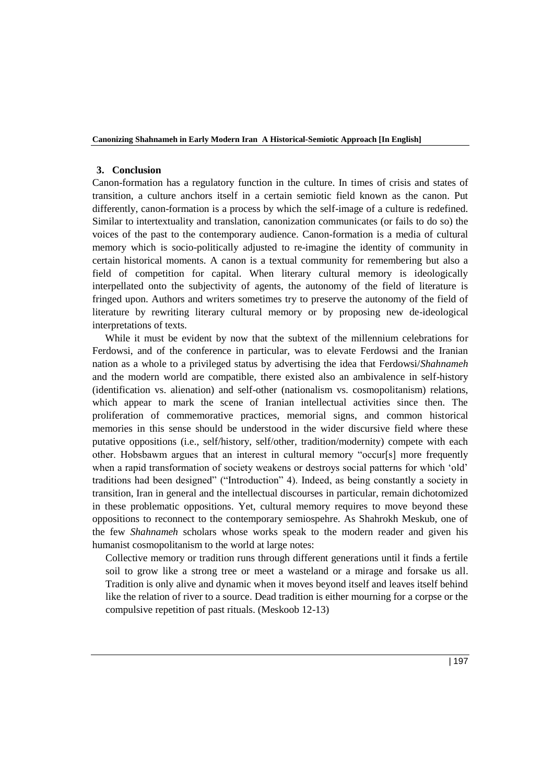### **3. Conclusion**

Canon-formation has a regulatory function in the culture. In times of crisis and states of transition, a culture anchors itself in a certain semiotic field known as the canon. Put differently, canon-formation is a process by which the self-image of a culture is redefined. Similar to intertextuality and translation, canonization communicates (or fails to do so) the voices of the past to the contemporary audience. Canon-formation is a media of cultural memory which is socio-politically adjusted to re-imagine the identity of community in certain historical moments. A canon is a textual community for remembering but also a field of competition for capital. When literary cultural memory is ideologically interpellated onto the subjectivity of agents, the autonomy of the field of literature is fringed upon. Authors and writers sometimes try to preserve the autonomy of the field of literature by rewriting literary cultural memory or by proposing new de-ideological interpretations of texts.

 While it must be evident by now that the subtext of the millennium celebrations for Ferdowsi, and of the conference in particular, was to elevate Ferdowsi and the Iranian nation as a whole to a privileged status by advertising the idea that Ferdowsi/*Shahnameh* and the modern world are compatible, there existed also an ambivalence in self-history (identification vs. alienation) and self-other (nationalism vs. cosmopolitanism) relations, which appear to mark the scene of Iranian intellectual activities since then. The proliferation of commemorative practices, memorial signs, and common historical memories in this sense should be understood in the wider discursive field where these putative oppositions (i.e., self/history, self/other, tradition/modernity) compete with each other. Hobsbawm argues that an interest in cultural memory "occur[s] more frequently when a rapid transformation of society weakens or destroys social patterns for which 'old' traditions had been designed" ("Introduction" 4). Indeed, as being constantly a society in transition, Iran in general and the intellectual discourses in particular, remain dichotomized in these problematic oppositions. Yet, cultural memory requires to move beyond these oppositions to reconnect to the contemporary semiospehre. As Shahrokh Meskub, one of the few *Shahnameh* scholars whose works speak to the modern reader and given his humanist cosmopolitanism to the world at large notes:

Collective memory or tradition runs through different generations until it finds a fertile soil to grow like a strong tree or meet a wasteland or a mirage and forsake us all. Tradition is only alive and dynamic when it moves beyond itself and leaves itself behind like the relation of river to a source. Dead tradition is either mourning for a corpse or the compulsive repetition of past rituals. (Meskoob 12-13)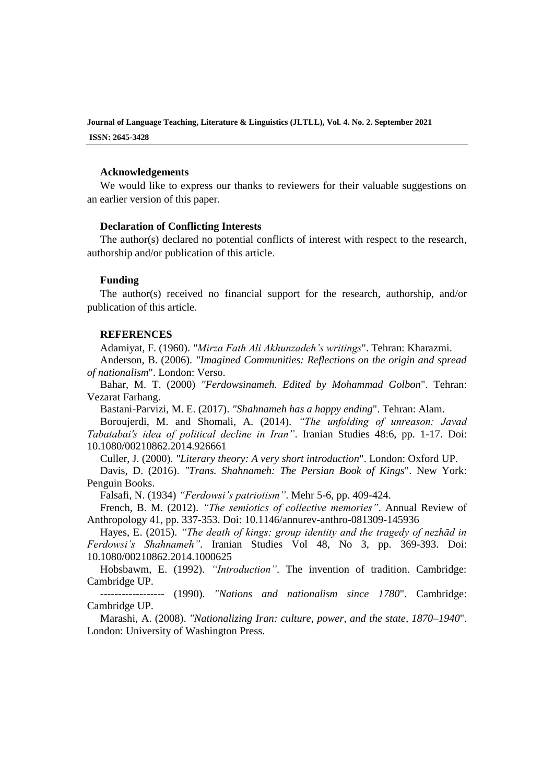### **Acknowledgements**

We would like to express our thanks to reviewers for their valuable suggestions on an earlier version of this paper.

### **Declaration of Conflicting Interests**

The author(s) declared no potential conflicts of interest with respect to the research, authorship and/or publication of this article.

### **Funding**

The author(s) received no financial support for the research, authorship, and/or publication of this article.

### **REFERENCES**

Adamiyat, F. (1960). *"Mirza Fath Ali Akhunzadeh's writings*". Tehran: Kharazmi.

Anderson, B. (2006). *"Imagined Communities: Reflections on the origin and spread of nationalism*". London: Verso.

Bahar, M. T. (2000) *"Ferdowsinameh. Edited by Mohammad Golbon*". Tehran: Vezarat Farhang.

Bastani-Parvizi, M. E. (2017). *"Shahnameh has a happy ending*". Tehran: Alam.

Boroujerdi, M. and Shomali, A. (2014). *"The unfolding of unreason: Javad Tabatabai's idea of political decline in Iran"*. Iranian Studies 48:6, pp. 1-17. Doi: [10.1080/00210862.2014.926661](https://doi.org/10.1080/00210862.2014.926661)

Culler, J. (2000). *"Literary theory: A very short introduction*". London: Oxford UP.

Davis, D. (2016). *"Trans. Shahnameh: The Persian Book of Kings*". New York: Penguin Books.

Falsafi, N. (1934) *"Ferdowsi's patriotism"*. Mehr 5-6, pp. 409-424.

French, B. M. (2012). *"The semiotics of collective memories"*. Annual Review of Anthropology 41, pp. 337-353. Doi: [10.1146/annurev-anthro-081309-145936](http://dx.doi.org/10.1146/annurev-anthro-081309-145936)

Hayes, E. (2015). *"The death of kings: group identity and the tragedy of nezhād in Ferdowsi's Shahnameh"*. Iranian Studies Vol 48, No 3, pp. 369-393. Doi: [10.1080/00210862.2014.1000625](https://doi.org/10.1080/00210862.2014.1000625)

Hobsbawm, E. (1992). *"Introduction"*. The invention of tradition. Cambridge: Cambridge UP.

------------------ (1990). *"Nations and nationalism since 1780*". Cambridge: Cambridge UP.

Marashi, A. (2008). *"Nationalizing Iran: culture, power, and the state, 1870–1940*". London: University of Washington Press.